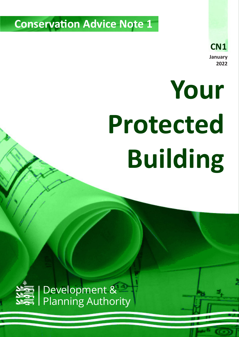**Conservation Advice Note 1**

# **Your Protected Building**



Development & Planning Authority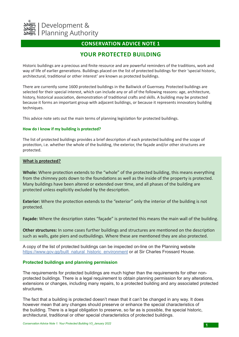

## **CONSERVATION ADVICE NOTE 1**

# **YOUR PROTECTED BUILDING**

Historic buildings are a precious and finite resource and are powerful reminders of the traditions, work and way of life of earlier generations. Buildings placed on the list of protected buildings for their 'special historic, architectural, traditional or other interest' are known as protected buildings.

There are currently some 1600 protected buildings in the Bailiwick of Guernsey. Protected buildings are selected for their special interest, which can include any or all of the following reasons: age, architecture, history, historical association, demonstration of traditional crafts and skills. A building may be protected because it forms an important group with adjacent buildings, or because it represents innovatory building techniques.

This advice note sets out the main terms of planning legislation for protected buildings.

### **How do I know if my building is protected?**

The list of protected buildings provides a brief description of each protected building and the scope of protection, i.e. whether the whole of the building, the exterior, the façade and/or other structures are protected.

### **What is protected?**

**Whole:** Where protection extends to the "whole" of the protected building, this means everything from the chimney pots down to the foundations as well as the inside of the property is protected. Many buildings have been altered or extended over time, and all phases of the building are protected unless explicitly excluded by the description.

**Exterior:** Where the protection extends to the "exterior" only the interior of the building is not protected.

**Façade:** Where the description states "façade" is protected this means the main wall of the building.

**Other structures:** In some cases further buildings and structures are mentioned on the description such as walls, gate piers and outbuildings. Where these are mentioned they are also protected.

A copy of the list of protected buildings can be inspected on-line on the Planning website https://www.gov.gg/built\_natural\_historic\_environment or at Sir Charles Frossard House.

### **Protected buildings and planning permission**

The requirements for protected buildings are much higher than the requirements for other nonprotected buildings. There is a legal requirement to obtain planning permission for any alterations, extensions or changes, including many repairs, to a protected building and any associated protected structures.

The fact that a building is protected doesn't mean that it can't be changed in any way. It does however mean that any changes should preserve or enhance the special characteristics of the building. There is a legal obligation to preserve, so far as is possible, the special historic, architectural, traditional or other special characteristics of protected buildings.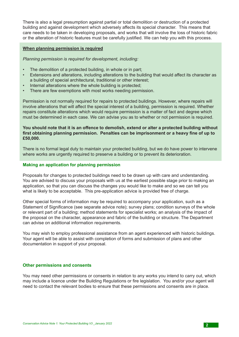There is also a legal presumption against partial or total demolition or destruction of a protected building and against development which adversely affects its special character. This means that care needs to be taken in developing proposals, and works that will involve the loss of historic fabric or the alteration of historic features must be carefully justified. We can help you with this process.

### **When planning permission is required**

*Planning permission is required for development, including:*

- The demolition of a protected building, in whole or in part;
- Extensions and alterations, including alterations to the building that would affect its character as a building of special architectural, traditional or other interest;
- Internal alterations where the whole building is protected;
- There are few exemptions with most works needing permission.

Permission is not normally required for repairs to protected buildings. However, where repairs will involve alterations that will affect the special interest of a building, permission is required. Whether repairs constitute alterations which would require permission is a matter of fact and degree which must be determined in each case. We can advise you as to whether or not permission is required.

### **You should note that it is an offence to demolish, extend or alter a protected building without first obtaining planning permission. Penalties can be imprisonment or a heavy fine of up to £50,000.**

There is no formal legal duty to maintain your protected building, but we do have power to intervene where works are urgently required to preserve a building or to prevent its deterioration.

### **Making an application for planning permission**

Proposals for changes to protected buildings need to be drawn up with care and understanding. You are advised to discuss your proposals with us at the earliest possible stage prior to making an application, so that you can discuss the changes you would like to make and so we can tell you what is likely to be acceptable. This pre-application advice is provided free of charge.

Other special forms of information may be required to accompany your application, such as a Statement of Significance (see separate advice note); survey plans; condition surveys of the whole or relevant part of a building; method statements for specialist works; an analysis of the impact of the proposal on the character, appearance and fabric of the building or structure. The Department can advise on additional information requirements.

You may wish to employ professional assistance from an agent experienced with historic buildings. Your agent will be able to assist with completion of forms and submission of plans and other documentation in support of your proposal.

### **Other permissions and consents**

You may need other permissions or consents in relation to any works you intend to carry out, which may include a licence under the Building Regulations or fire legislation. You and/or your agent will need to contact the relevant bodies to ensure that these permissions and consents are in place.